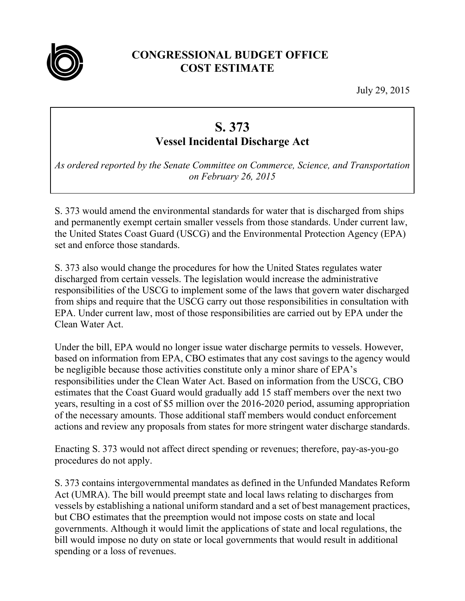

## **CONGRESSIONAL BUDGET OFFICE COST ESTIMATE**

July 29, 2015

## **S. 373 Vessel Incidental Discharge Act**

*As ordered reported by the Senate Committee on Commerce, Science, and Transportation on February 26, 2015* 

S. 373 would amend the environmental standards for water that is discharged from ships and permanently exempt certain smaller vessels from those standards. Under current law, the United States Coast Guard (USCG) and the Environmental Protection Agency (EPA) set and enforce those standards.

S. 373 also would change the procedures for how the United States regulates water discharged from certain vessels. The legislation would increase the administrative responsibilities of the USCG to implement some of the laws that govern water discharged from ships and require that the USCG carry out those responsibilities in consultation with EPA. Under current law, most of those responsibilities are carried out by EPA under the Clean Water Act.

Under the bill, EPA would no longer issue water discharge permits to vessels. However, based on information from EPA, CBO estimates that any cost savings to the agency would be negligible because those activities constitute only a minor share of EPA's responsibilities under the Clean Water Act. Based on information from the USCG, CBO estimates that the Coast Guard would gradually add 15 staff members over the next two years, resulting in a cost of \$5 million over the 2016-2020 period, assuming appropriation of the necessary amounts. Those additional staff members would conduct enforcement actions and review any proposals from states for more stringent water discharge standards.

Enacting S. 373 would not affect direct spending or revenues; therefore, pay-as-you-go procedures do not apply.

S. 373 contains intergovernmental mandates as defined in the Unfunded Mandates Reform Act (UMRA). The bill would preempt state and local laws relating to discharges from vessels by establishing a national uniform standard and a set of best management practices, but CBO estimates that the preemption would not impose costs on state and local governments. Although it would limit the applications of state and local regulations, the bill would impose no duty on state or local governments that would result in additional spending or a loss of revenues.